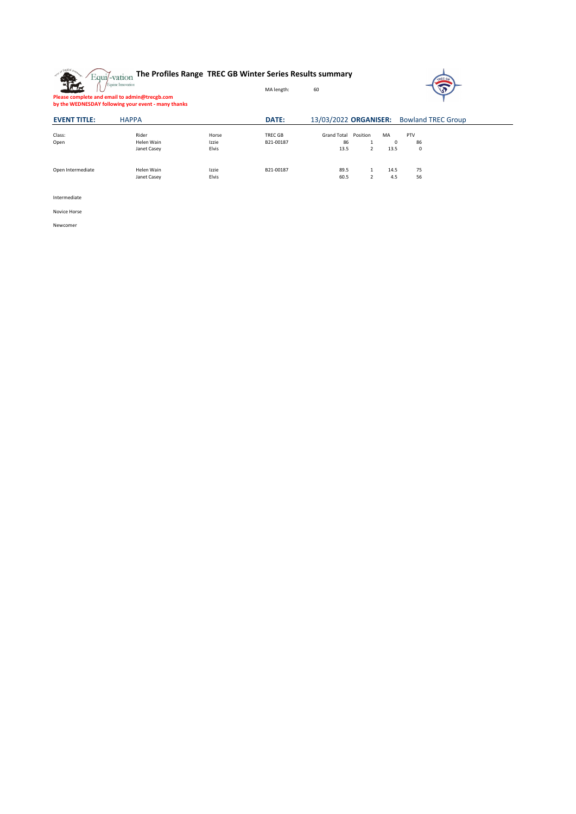



**Please complete and email to admin@trecgb.com by the WEDNESDAY following your event - many thanks**

| <b>EVENT TITLE:</b> | <b>HAPPA</b> |       | <b>DATE:</b> | 13/03/2022 ORGANISER: |          |      | <b>Bowland TREC Group</b> |  |
|---------------------|--------------|-------|--------------|-----------------------|----------|------|---------------------------|--|
| Class:              | Rider        | Horse | TREC GB      | <b>Grand Total</b>    | Position | MA   | <b>PTV</b>                |  |
| Open                | Helen Wain   | Izzie | B21-00187    | 86                    |          | 0    | 86                        |  |
|                     | Janet Casey  | Elvis |              | 13.5                  |          | 13.5 | $\mathbf 0$               |  |
| Open Intermediate   | Helen Wain   | Izzie | B21-00187    | 89.5                  |          | 14.5 | 75                        |  |
|                     | Janet Casey  | Elvis |              | 60.5                  |          | 4.5  | 56                        |  |

Intermediate

Novice Horse

Newcomer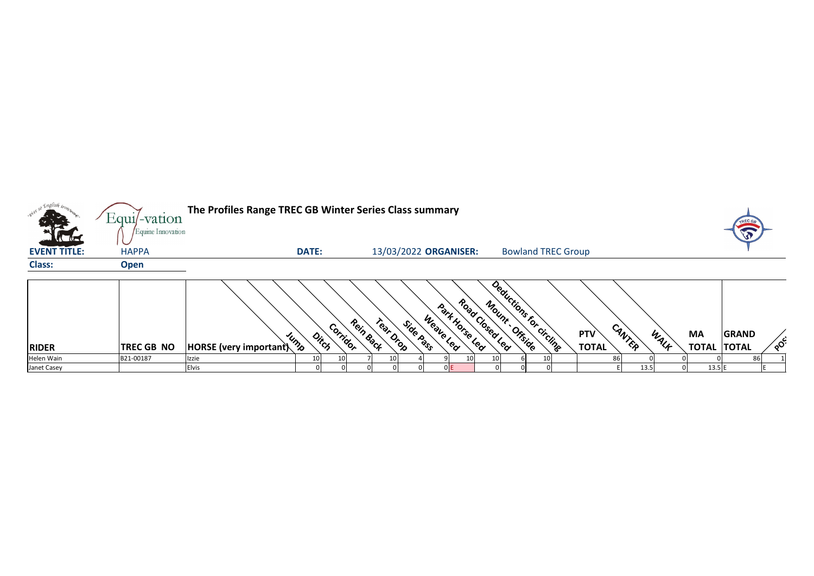| so English iron.    | Equil-vation                      | The Profiles Range TREC GB Winter Series Class summary |              |                                             |           |                       |                        |                |                 |               |                           |                            |        |      |           |                                    |    |
|---------------------|-----------------------------------|--------------------------------------------------------|--------------|---------------------------------------------|-----------|-----------------------|------------------------|----------------|-----------------|---------------|---------------------------|----------------------------|--------|------|-----------|------------------------------------|----|
| <b>EVENT TITLE:</b> | Equine Innovation<br><b>HAPPA</b> |                                                        | <b>DATE:</b> |                                             |           | 13/03/2022 ORGANISER: |                        |                |                 |               | <b>Bowland TREC Group</b> |                            |        |      |           |                                    |    |
| <b>Class:</b>       | <b>Open</b>                       |                                                        |              |                                             |           |                       |                        |                |                 |               |                           |                            |        |      |           |                                    |    |
| <b>RIDER</b>        | <b>TREC GB NO</b>                 | <b>HORSE</b> (very important)                          | JUMP         | Corridor<br>$o_{i_{\zeta_{\zeta}}^{\cdot}}$ | Rein Back | Tear Drop             | Weave Lea<br>Side Pass | Park Horse Leq | Road Closed Lea | Mount Offside | Deductions for circling   | <b>PTV</b><br><b>TOTAL</b> | CANTER | WALK | <b>MA</b> | <b>GRAND</b><br><b>TOTAL TOTAL</b> | ໌ດ |
| Helen Wain          | B21-00187                         | Izzie                                                  | 10           | 10I                                         |           |                       |                        |                | 10I             |               |                           |                            | 86     |      |           | 86                                 |    |
| Janet Casey         |                                   | <b>Elvis</b>                                           |              |                                             |           |                       |                        | 0 E            |                 |               |                           |                            | 13.5   |      | $13.5$ E  |                                    |    |





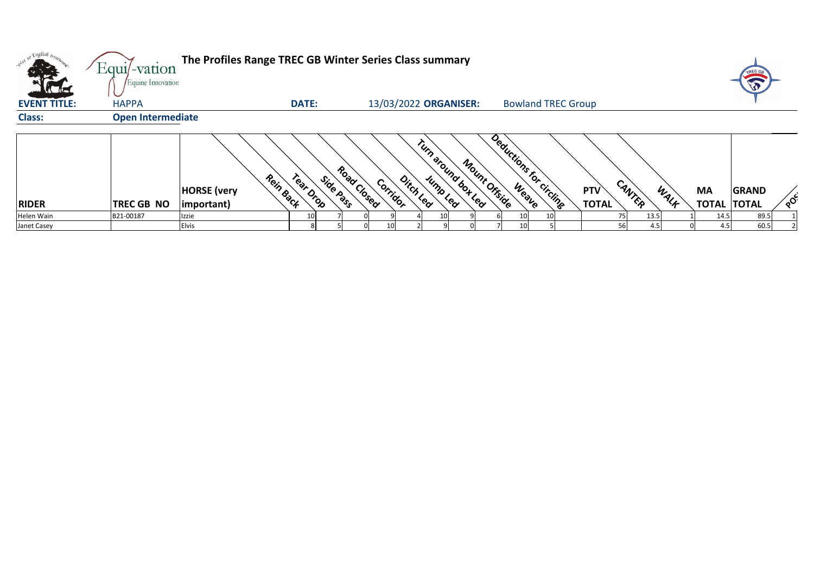| , Englis <i>h iron</i><br><b>. 02 ex</b> SU<br>$\sim 1$ | Equi/-vation<br>Equine Innovation | The Profiles Range TREC GB Winter Series Class summary |              |                                      |                                |               |                         |                           |                            |        |      |                                 |              |    |
|---------------------------------------------------------|-----------------------------------|--------------------------------------------------------|--------------|--------------------------------------|--------------------------------|---------------|-------------------------|---------------------------|----------------------------|--------|------|---------------------------------|--------------|----|
| <b>EVENT TITLE:</b>                                     | <b>HAPPA</b>                      |                                                        | <b>DATE:</b> |                                      | 13/03/2022 ORGANISER:          |               |                         | <b>Bowland TREC Group</b> |                            |        |      |                                 |              |    |
| <b>Class:</b>                                           | <b>Open Intermediate</b>          |                                                        |              |                                      |                                |               |                         |                           |                            |        |      |                                 |              |    |
| <b>RIDER</b>                                            | <b>TREC GB NO</b>                 | Rein Back<br><b>HORSE</b> (very<br>$ important\rangle$ | Tear Drop    | Road Closed<br>Side Pass<br>Corridor | Tumaround box Lea<br>Ditch Lea | Mount Offside | Deductions for circling |                           | <b>PTV</b><br><b>TOTAL</b> | CANTER | WALK | <b>MA</b><br><b>TOTAL TOTAL</b> | <b>GRAND</b> | ໌ດ |
| Helen Wain                                              | B21-00187                         | Izzie                                                  |              |                                      |                                |               | 10                      |                           | 75                         | 13.5   |      | 14.5                            | 89.5         |    |
| Janet Casey                                             |                                   | <b>Elvis</b>                                           |              | 10I                                  |                                |               | 10                      |                           | 56                         | 4.5    |      | 4.5                             | 60.5         |    |



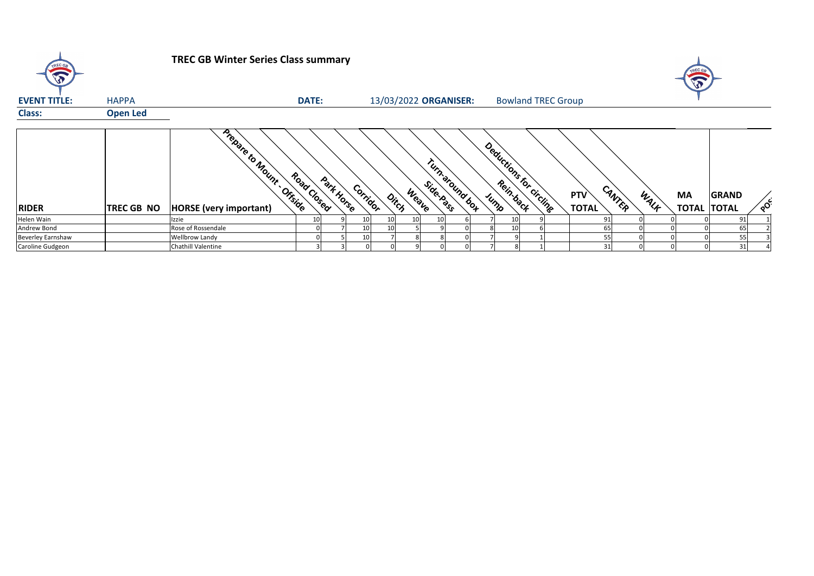

## **TREC GB Winter Series Class summary**

| <b>EVENT TITLE:</b>      | <b>HAPPA</b>      |                                                           | <b>DATE:</b> |            |                 |                 |                                              |                     | 13/03/2022 ORGANISER: |  | <b>Bowland TREC Group</b> |                            |        |      |           |                                    |        |
|--------------------------|-------------------|-----------------------------------------------------------|--------------|------------|-----------------|-----------------|----------------------------------------------|---------------------|-----------------------|--|---------------------------|----------------------------|--------|------|-----------|------------------------------------|--------|
| <b>Class:</b>            | <b>Open Led</b>   |                                                           |              |            |                 |                 |                                              |                     |                       |  |                           |                            |        |      |           |                                    |        |
| <b>RIDER</b>             | <b>TREC GB NO</b> | Prepare to Mount Offside<br><b>HORSE</b> (very important) | Road Closed  | Park Horse |                 | Corridor        | $\phi_{i_{\tilde{\mathcal{C}}_{\zeta_{j}}}}$ | Side-Racis<br>Weave | Turn around box       |  | Deductions for circling   | <b>PTV</b><br><b>TOTAL</b> | CANTER | WALF | <b>MA</b> | <b>GRAND</b><br><b>TOTAL TOTAL</b> | $\sim$ |
| Helen Wain               |                   | Izzie                                                     |              |            | 10 <sub>l</sub> | 10 <sup>1</sup> | 10 <sup>1</sup>                              | 10                  |                       |  |                           | 91                         |        |      |           | 91                                 |        |
| Andrew Bond              |                   | Rose of Rossendale                                        |              |            | 10              | 10              |                                              |                     |                       |  |                           | 65                         |        |      |           | 65                                 |        |
| <b>Beverley Earnshaw</b> |                   | Wellbrow Landy                                            |              |            | 10              |                 |                                              |                     |                       |  |                           | 55                         |        |      |           | 55                                 |        |
| Caroline Gudgeon         |                   | Chathill Valentine                                        |              |            |                 |                 |                                              |                     |                       |  |                           | 31                         |        |      |           | 31                                 |        |





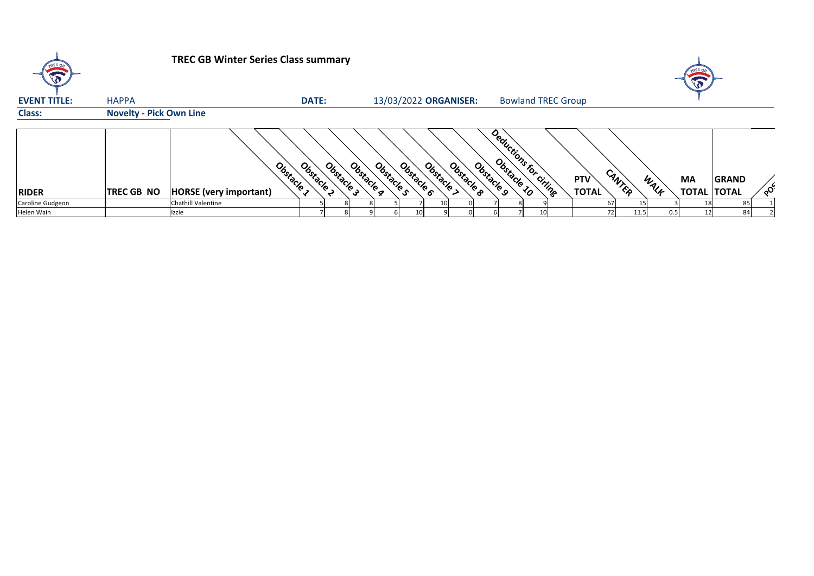## **TREC GB Winter Series Class summary** E **EVENT TITLE:** HAPPA **DATE:** 13/03/2022 **ORGANISER:** Bowland TREC Group **Class: Novelty - Pick Own Line Obstacle 10 Deductions for cirling** Obstacle 3 **RIDER TREC GB NO HORSE (very important)** Obstacle 5 Obstacle 6 Obstacle 2 Obstacle 9 Obstacle > Obstacle 8 Obstacle 9 Caroline Gudgeon | Chathill Valentine | 5| 8| 8| 5| 7| 10| 0| 7| 8| 9| | 67| 15| 3| 18| 85| 1 Helen Wain Izzie 7 8 9 6 10 9 0 6 7 10 72 11.5 0.5 12 84 2